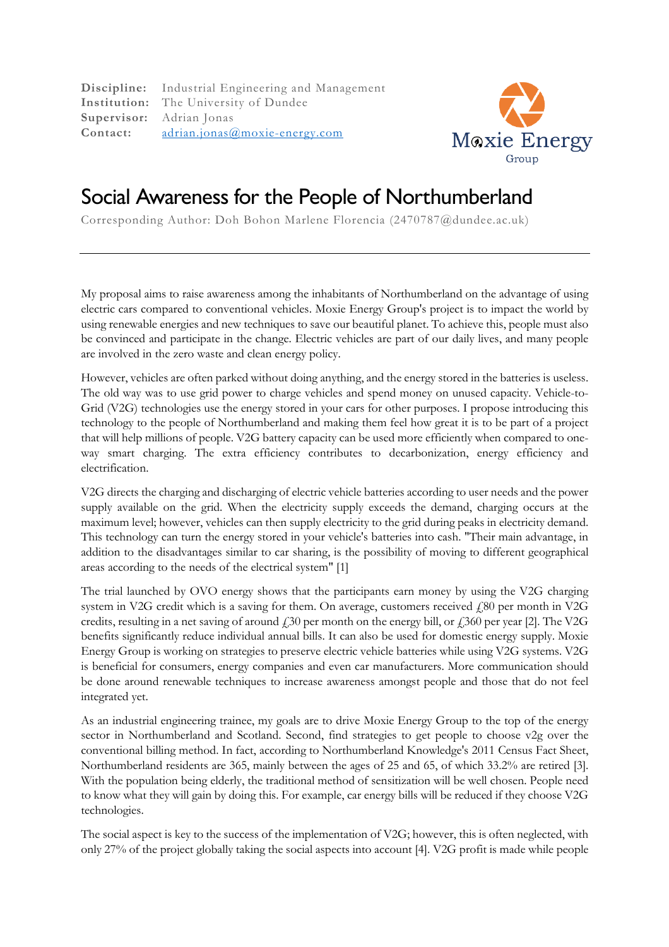**Discipline:** Industrial Engineering and Management **Institution:** The University of Dundee **Supervisor:** Adrian Jonas **Contact:** adrian.jonas@moxie-energy.com



## Social Awareness for the People of Northumberland

Corresponding Author: Doh Bohon Marlene Florencia (2470787@dundee.ac.uk)

My proposal aims to raise awareness among the inhabitants of Northumberland on the advantage of using electric cars compared to conventional vehicles. Moxie Energy Group's project is to impact the world by using renewable energies and new techniques to save our beautiful planet. To achieve this, people must also be convinced and participate in the change. Electric vehicles are part of our daily lives, and many people are involved in the zero waste and clean energy policy.

However, vehicles are often parked without doing anything, and the energy stored in the batteries is useless. The old way was to use grid power to charge vehicles and spend money on unused capacity. Vehicle-to-Grid (V2G) technologies use the energy stored in your cars for other purposes. I propose introducing this technology to the people of Northumberland and making them feel how great it is to be part of a project that will help millions of people. V2G battery capacity can be used more efficiently when compared to oneway smart charging. The extra efficiency contributes to decarbonization, energy efficiency and electrification.

V2G directs the charging and discharging of electric vehicle batteries according to user needs and the power supply available on the grid. When the electricity supply exceeds the demand, charging occurs at the maximum level; however, vehicles can then supply electricity to the grid during peaks in electricity demand. This technology can turn the energy stored in your vehicle's batteries into cash. "Their main advantage, in addition to the disadvantages similar to car sharing, is the possibility of moving to different geographical areas according to the needs of the electrical system" [1]

The trial launched by OVO energy shows that the participants earn money by using the V2G charging system in V2G credit which is a saving for them. On average, customers received  $f_s$ 80 per month in V2G credits, resulting in a net saving of around  $\dot{\gamma}$ 30 per month on the energy bill, or  $\dot{\gamma}$ 360 per year [2]. The V2G benefits significantly reduce individual annual bills. It can also be used for domestic energy supply. Moxie Energy Group is working on strategies to preserve electric vehicle batteries while using V2G systems. V2G is beneficial for consumers, energy companies and even car manufacturers. More communication should be done around renewable techniques to increase awareness amongst people and those that do not feel integrated yet.

As an industrial engineering trainee, my goals are to drive Moxie Energy Group to the top of the energy sector in Northumberland and Scotland. Second, find strategies to get people to choose v2g over the conventional billing method. In fact, according to Northumberland Knowledge's 2011 Census Fact Sheet, Northumberland residents are 365, mainly between the ages of 25 and 65, of which 33.2% are retired [3]. With the population being elderly, the traditional method of sensitization will be well chosen. People need to know what they will gain by doing this. For example, car energy bills will be reduced if they choose V2G technologies.

The social aspect is key to the success of the implementation of V2G; however, this is often neglected, with only 27% of the project globally taking the social aspects into account [4]. V2G profit is made while people